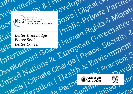Nelopen Green Blopital Development Goals Digital Welopment MEIG BEUROPEAN AND EUROPEAN AND

Public Private Collection Bell Collection Crown Peace experience Public Private Collection Reserves Public Private Collection Reserves Public Private Collection Reserves Public Private Collection Reserves Public Private Co Affaire | de & Development | . Life Contact Goals Digital Governance (Refer Engines & European Governance International Governance Better Covernance Better Covernance (Refer Engines & Goals ) And the Security of Better Covernance (Refer Engines ) (Refer Public-Private Partnerships and Public-Private Partnerships and Public-Private & Migratic-Partnerships and Public-Private & Migratic Partnerships and Public-Private & Migratic Partnerships and Public-Private & Migratic Par Trited Nations & Frange | Practical Security & Development Goals | Linnac Governance | later skills and the method of the Migration of the Migration of the Migration of the Migration of the Migration of the Migration of th Pace MEIG Retter Knowledge Barther Rights & Migratical Better Strikes Retter Career Public-Private Barther<br>Exit Better Knowledge Public-Private & Migratical<br>Faith Better Green Human Rights & Migratical<br>Development Goal Hum Fai Better Knowledge Public Right Governance Heattle Change | Peace, Security & Better Career Covernance | Covernance Security & Human Governance | Peace, Security & Human Governance | Covernance | Covernance | Covernance Better Skills<br>Exparit Goal Huropean Geouinent *Better Knowledge Better Skills Better Career*